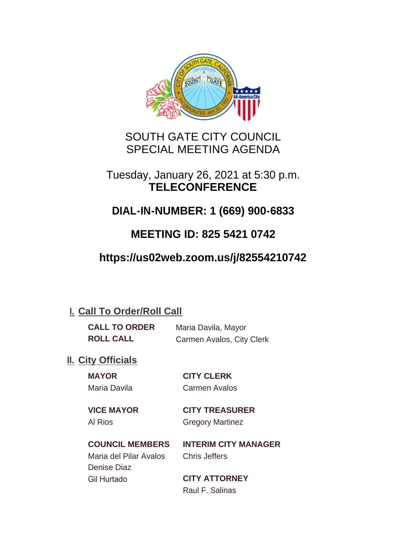

## SOUTH GATE CITY COUNCIL SPECIAL MEETING AGENDA

## Tuesday, January 26, 2021 at 5:30 p.m. **TELECONFERENCE**

# **DIAL-IN-NUMBER: 1 (669) 900-6833**

# **MEETING ID: 825 5421 0742**

# **https://us02web.zoom.us/j/82554210742**

## **I. Call To Order/Roll Call**

| <b>CALL TO ORDER</b> | Maria Davila, Mayor       |
|----------------------|---------------------------|
| <b>ROLL CALL</b>     | Carmen Avalos, City Clerk |

## **II.** City Officials

**MAYOR CITY CLERK** Maria Davila Carmen Avalos

**VICE MAYOR CITY TREASURER**

Al Rios Gregory Martinez

**COUNCIL MEMBERS INTERIM CITY MANAGER** Maria del Pilar Avalos Chris Jeffers

Denise Diaz Gil Hurtado **CITY ATTORNEY**

Raul F. Salinas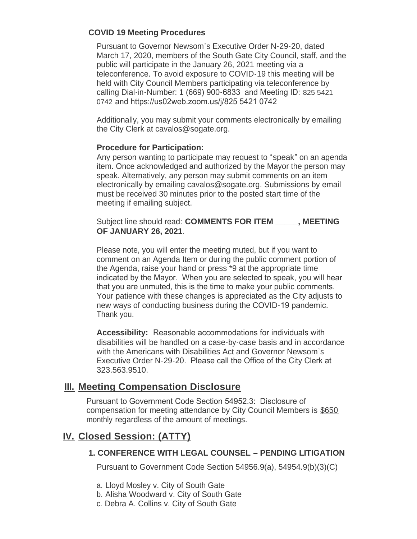### **COVID 19 Meeting Procedures**

Pursuant to Governor Newsom's Executive Order N-29-20, dated March 17, 2020, members of the South Gate City Council, staff, and the public will participate in the January 26, 2021 meeting via a teleconference. To avoid exposure to COVID-19 this meeting will be held with City Council Members participating via teleconference by calling Dial-in-Number: 1 (669) 900-6833 and Meeting ID: 825 5421 0742 and https://us02web.zoom.us/j/825 5421 0742

Additionally, you may submit your comments electronically by emailing the City Clerk at cavalos@sogate.org.

#### **Procedure for Participation:**

Any person wanting to participate may request to "speak" on an agenda item. Once acknowledged and authorized by the Mayor the person may speak. Alternatively, any person may submit comments on an item electronically by emailing cavalos@sogate.org. Submissions by email must be received 30 minutes prior to the posted start time of the meeting if emailing subject.

Subject line should read: **COMMENTS FOR ITEM \_\_\_\_\_, MEETING OF JANUARY 26, 2021**.

Please note, you will enter the meeting muted, but if you want to comment on an Agenda Item or during the public comment portion of the Agenda, raise your hand or press \*9 at the appropriate time indicated by the Mayor. When you are selected to speak, you will hear that you are unmuted, this is the time to make your public comments. Your patience with these changes is appreciated as the City adjusts to new ways of conducting business during the COVID-19 pandemic. Thank you.

**Accessibility:** Reasonable accommodations for individuals with disabilities will be handled on a case-by-case basis and in accordance with the Americans with Disabilities Act and Governor Newsom's Executive Order N-29-20. Please call the Office of the City Clerk at 323.563.9510.

## **Meeting Compensation Disclosure III.**

Pursuant to Government Code Section 54952.3: Disclosure of compensation for meeting attendance by City Council Members is \$650 monthly regardless of the amount of meetings.

## **Closed Session: (ATTY) IV.**

### **1. CONFERENCE WITH LEGAL COUNSEL – PENDING LITIGATION**

Pursuant to Government Code Section 54956.9(a), 54954.9(b)(3)(C)

- a. Lloyd Mosley v. City of South Gate
- b. Alisha Woodward v. City of South Gate
- c. Debra A. Collins v. City of South Gate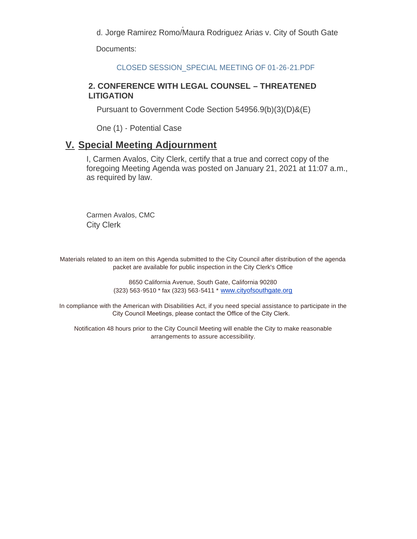c. Debra A. Collins v. City of South Gate d. Jorge Ramirez Romo/Maura Rodriguez Arias v. City of South Gate

Documents:

CLOSED SESSION\_SPECIAL MEETING OF 01-26-21.PDF

### **2. CONFERENCE WITH LEGAL COUNSEL – THREATENED LITIGATION**

Pursuant to Government Code Section 54956.9(b)(3)(D)&(E)

One (1) - Potential Case

### **Special Meeting Adjournment V.**

I, Carmen Avalos, City Clerk, certify that a true and correct copy of the foregoing Meeting Agenda was posted on January 21, 2021 at 11:07 a.m., as required by law.

Carmen Avalos, CMC City Clerk

Materials related to an item on this Agenda submitted to the City Council after distribution of the agenda packet are available for public inspection in the City Clerk's Office

> 8650 California Avenue, South Gate, California 90280 (323) 563-9510 \* fax (323) 563-5411 \* [www.cityofsouthgate.org](http://www.cityofsouthgate.org/)

In compliance with the American with Disabilities Act, if you need special assistance to participate in the City Council Meetings, please contact the Office of the City Clerk.

Notification 48 hours prior to the City Council Meeting will enable the City to make reasonable arrangements to assure accessibility.